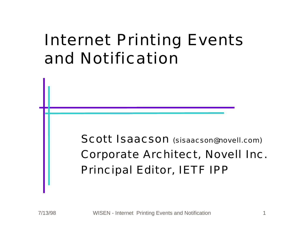### Internet Printing Events and Notification

Scott Isaacson (sisaacson@novell.com) Corporate Architect, Novell Inc. Principal Editor, IETF IPP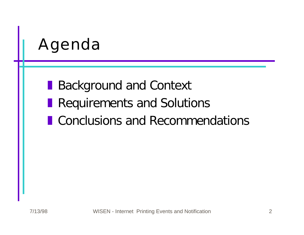# Agenda

**Background and Context** 

- **Requirements and Solutions**
- **I** Conclusions and Recommendations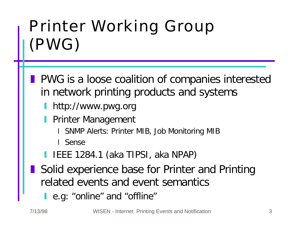# Printer Working Group (PWG)

- **PWG** is a loose coalition of companies interested in network printing products and systems
	- http://www.pwg.org
	- Printer Management
		- x SNMP Alerts: Printer MIB, Job Monitoring MIB
		- **I** Sense
	- **I IEEE 1284.1 (aka TIPSI, aka NPAP)**
- **Solid experience base for Printer and Printing** related events and event semantics
	- **l** e.g: "online" and "offline"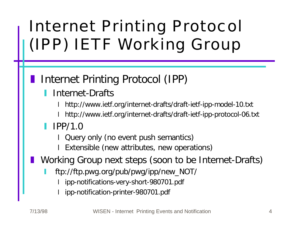# Internet Printing Protocol (IPP) IETF Working Group

### Internet Printing Protocol (IPP)

#### Internet-Drafts

x http://www.ietf.org/internet-drafts/draft-ietf-ipp-model-10.txt

x http://www.ietf.org/internet-drafts/draft-ietf-ipp-protocol-06.txt

#### $IPP/1.0$

Query only (no event push semantics)

Extensible (new attributes, new operations)

Working Group next steps (soon to be Internet-Drafts)

- y ftp://ftp.pwg.org/pub/pwg/ipp/new\_NOT/
	- ipp-notifications-very-short-980701.pdf
	- ipp-notification-printer-980701.pdf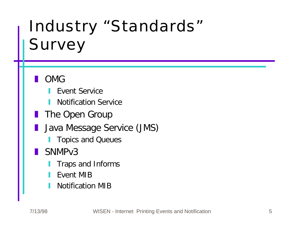# Industry "Standards" Survey

#### z OMG

- **Event Service**
- **Notification Service**
- **The Open Group**
- Java Message Service (JMS)
	- **Topics and Queues**
- SNMP<sub>v3</sub>
	- Traps and Informs
	- y Event MIB
	- **Notification MIB**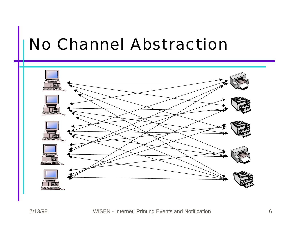### No Channel Abstraction

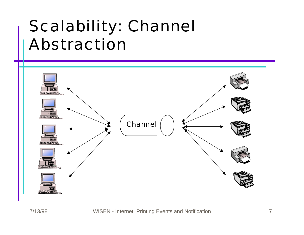## Scalability: Channel Abstraction

![](_page_6_Figure_1.jpeg)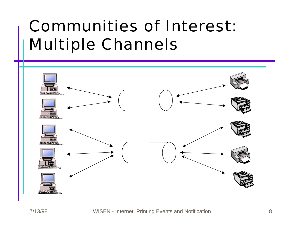## Communities of Interest: Multiple Channels

![](_page_7_Figure_1.jpeg)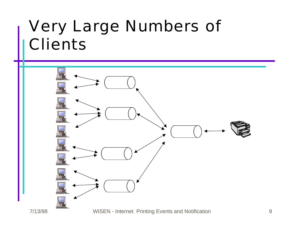### Very Large Numbers of **Clients**

![](_page_8_Figure_1.jpeg)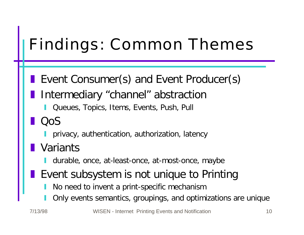# Findings: Common Themes

- **Exent Consumer(s) and Event Producer(s)** 
	- Intermediary "channel" abstraction
		- Queues, Topics, Items, Events, Push, Pull
- z QoS
	- y privacy, authentication, authorization, latency
- Variants
	- durable, once, at-least-once, at-most-once, maybe
- Event subsystem is not unique to Printing
	- No need to invent a print-specific mechanism
	- Only events semantics, groupings, and optimizations are unique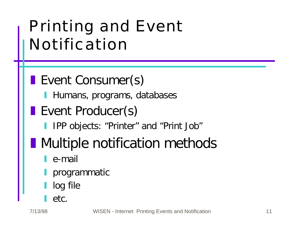# Printing and Event Notification

### **Event Consumer(s)**

- **Humans, programs, databases**
- **Event Producer(s)** 
	- IPP objects: "Printer" and "Print Job"
- **Nultiple notification methods** 
	- e-mail
	- programmatic
	- log file
	- etc.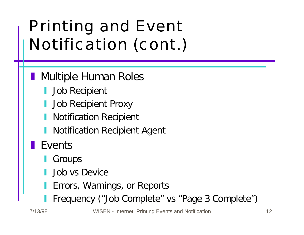# Printing and Event Notification (cont.)

- Multiple Human Roles
	- Job Recipient
	- Job Recipient Proxy
	- **Notification Recipient**
	- Notification Recipient Agent
- Events
	- Groups
	- Job vs Device
	- Errors, Warnings, or Reports
	- Frequency ("Job Complete" vs "Page 3 Complete")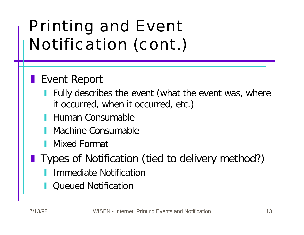# Printing and Event Notification (cont.)

### **Event Report**

- Fully describes the event (what the event was, where it occurred, when it occurred, etc.)
- Human Consumable
- Machine Consumable
- **Mixed Format**
- Types of Notification (tied to delivery method?)
	- **Immediate Notification**
	- Queued Notification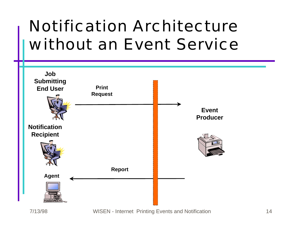# Notification Architecture without an Event Service

![](_page_13_Figure_1.jpeg)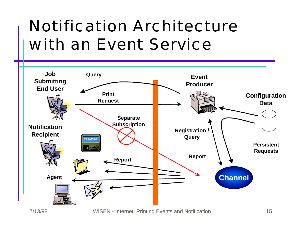# Notification Architecture with an Event Service

![](_page_14_Figure_1.jpeg)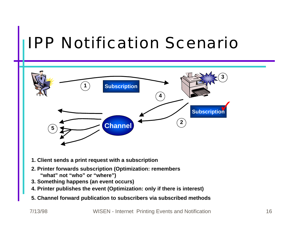### IPP Notification Scenario

![](_page_15_Figure_1.jpeg)

- **1. Client sends a print request with a subscription**
- **2. Printer forwards subscription (Optimization: remembers "what" not "who" or "where")**
- **3. Something happens (an event occurs)**
- **4. Printer publishes the event (Optimization: only if there is interest)**
- **5. Channel forward publication to subscribers via subscribed methods**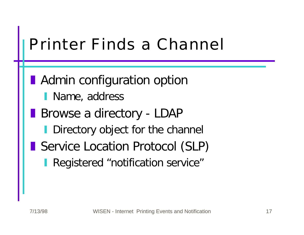### Printer Finds a Channel

**Admin configuration option** 

- I Name, address
- **Browse a directory LDAP** 
	- **Directory object for the channel**
- **Service Location Protocol (SLP)** 
	- Registered "notification service"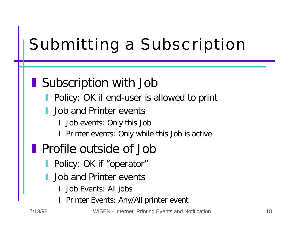# Submitting a Subscription

### **Subscription with Job**

- Policy: OK if end-user is allowed to print
- Job and Printer events
	- I Job events: Only this Job
	- Printer events: Only while this Job is active
- **Profile outside of Job** 
	- Policy: OK if "operator"
	- Job and Printer events
		- Job Events: All jobs
		- Printer Events: Any/All printer event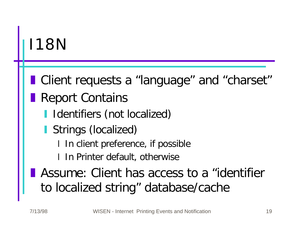### I18N

**I** Client requests a "language" and "charset"

- Report Contains
	- Identifiers (not localized)
	- Strings (localized)
		- I In client preference, if possible
		- In Printer default, otherwise
- **Assume: Client has access to a "identifier** to localized string" database/cache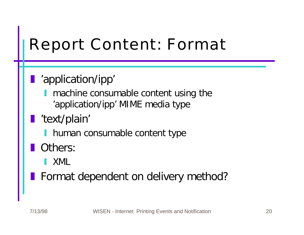# Report Content: Format

### **l** 'application/ipp'

- machine consumable content using the 'application/ipp' MIME media type
- l 'text/plain'
	- I human consumable content type

#### Others:

- y XML
- **Format dependent on delivery method?**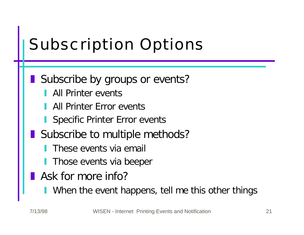# Subscription Options

#### Subscribe by groups or events?

- All Printer events
- All Printer Frror events
- Specific Printer Error events
- Subscribe to multiple methods?
	- These events via email
	- Those events via beeper
- Ask for more info?
	- When the event happens, tell me this other things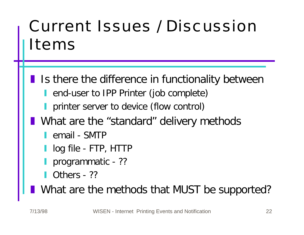# Current Issues / Discussion Items

- **If Is there the difference in functionality between** 
	- **I** end-user to IPP Printer (job complete)
	- **I** printer server to device (flow control)
- **Notable 10 Notable 10 and T** What are the "standard" delivery methods
	- **I** email SMTP
	- l log file FTP, HTTP
	- programmatic ??
	- $\blacksquare$  Others ??
	- What are the methods that MUST be supported?